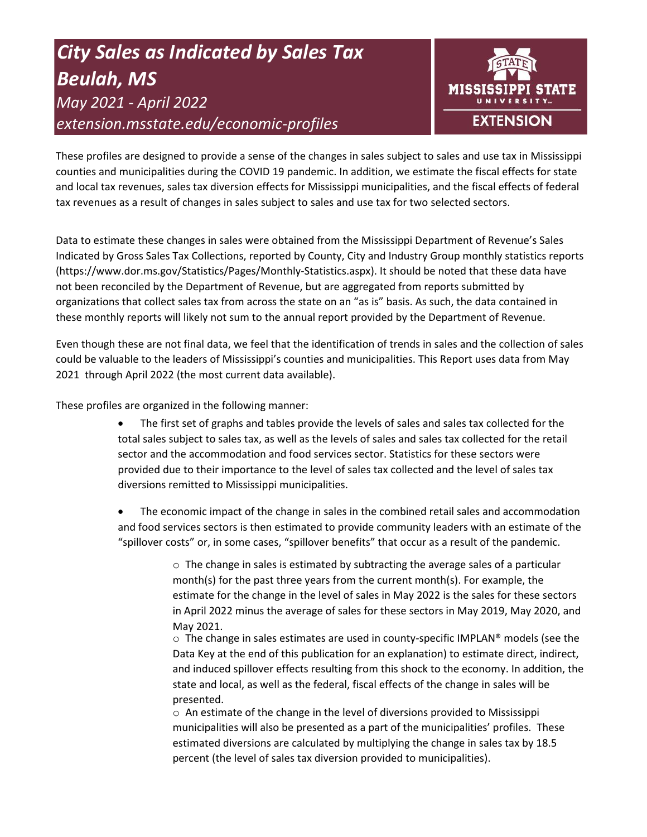# *City Sales as Indicated by Sales Tax Beulah, MS May 2021 - April 2022 extension.msstate.edu/economic-profiles*



These profiles are designed to provide a sense of the changes in sales subject to sales and use tax in Mississippi counties and municipalities during the COVID 19 pandemic. In addition, we estimate the fiscal effects for state and local tax revenues, sales tax diversion effects for Mississippi municipalities, and the fiscal effects of federal tax revenues as a result of changes in sales subject to sales and use tax for two selected sectors.

Data to estimate these changes in sales were obtained from the Mississippi Department of Revenue's Sales Indicated by Gross Sales Tax Collections, reported by County, City and Industry Group monthly statistics reports (https://www.dor.ms.gov/Statistics/Pages/Monthly-Statistics.aspx). It should be noted that these data have not been reconciled by the Department of Revenue, but are aggregated from reports submitted by organizations that collect sales tax from across the state on an "as is" basis. As such, the data contained in these monthly reports will likely not sum to the annual report provided by the Department of Revenue.

Even though these are not final data, we feel that the identification of trends in sales and the collection of sales could be valuable to the leaders of Mississippi's counties and municipalities. This Report uses data from May 2021 through April 2022 (the most current data available).

These profiles are organized in the following manner:

- The first set of graphs and tables provide the levels of sales and sales tax collected for the total sales subject to sales tax, as well as the levels of sales and sales tax collected for the retail sector and the accommodation and food services sector. Statistics for these sectors were provided due to their importance to the level of sales tax collected and the level of sales tax diversions remitted to Mississippi municipalities.
- The economic impact of the change in sales in the combined retail sales and accommodation and food services sectors is then estimated to provide community leaders with an estimate of the "spillover costs" or, in some cases, "spillover benefits" that occur as a result of the pandemic.

 $\circ$  The change in sales is estimated by subtracting the average sales of a particular month(s) for the past three years from the current month(s). For example, the estimate for the change in the level of sales in May 2022 is the sales for these sectors in April 2022 minus the average of sales for these sectors in May 2019, May 2020, and May 2021.

 $\circ$  The change in sales estimates are used in county-specific IMPLAN® models (see the Data Key at the end of this publication for an explanation) to estimate direct, indirect, and induced spillover effects resulting from this shock to the economy. In addition, the state and local, as well as the federal, fiscal effects of the change in sales will be presented.

 $\circ$  An estimate of the change in the level of diversions provided to Mississippi municipalities will also be presented as a part of the municipalities' profiles. These estimated diversions are calculated by multiplying the change in sales tax by 18.5 percent (the level of sales tax diversion provided to municipalities).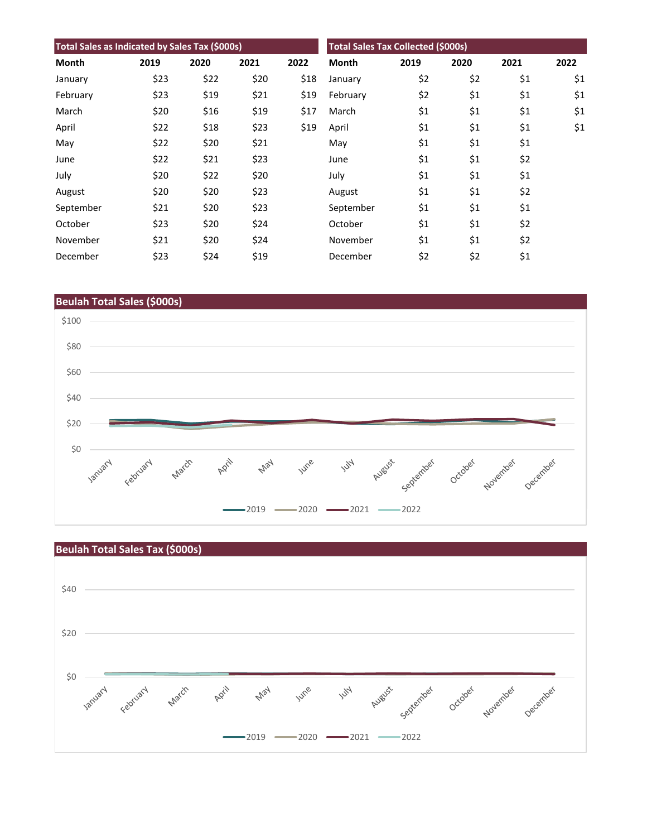| Total Sales as Indicated by Sales Tax (\$000s) |      |      |      | <b>Total Sales Tax Collected (\$000s)</b> |              |      |      |      |      |
|------------------------------------------------|------|------|------|-------------------------------------------|--------------|------|------|------|------|
| Month                                          | 2019 | 2020 | 2021 | 2022                                      | <b>Month</b> | 2019 | 2020 | 2021 | 2022 |
| January                                        | \$23 | \$22 | \$20 | \$18                                      | January      | \$2  | \$2  | \$1  | \$1  |
| February                                       | \$23 | \$19 | \$21 | \$19                                      | February     | \$2  | \$1  | \$1  | \$1  |
| March                                          | \$20 | \$16 | \$19 | \$17                                      | March        | \$1  | \$1  | \$1  | \$1  |
| April                                          | \$22 | \$18 | \$23 | \$19                                      | April        | \$1  | \$1  | \$1  | \$1  |
| May                                            | \$22 | \$20 | \$21 |                                           | May          | \$1  | \$1  | \$1  |      |
| June                                           | \$22 | \$21 | \$23 |                                           | June         | \$1  | \$1  | \$2  |      |
| July                                           | \$20 | \$22 | \$20 |                                           | July         | \$1  | \$1  | \$1  |      |
| August                                         | \$20 | \$20 | \$23 |                                           | August       | \$1  | \$1  | \$2  |      |
| September                                      | \$21 | \$20 | \$23 |                                           | September    | \$1  | \$1  | \$1  |      |
| October                                        | \$23 | \$20 | \$24 |                                           | October      | \$1  | \$1  | \$2  |      |
| November                                       | \$21 | \$20 | \$24 |                                           | November     | \$1  | \$1  | \$2  |      |
| December                                       | \$23 | \$24 | \$19 |                                           | December     | \$2  | \$2  | \$1  |      |



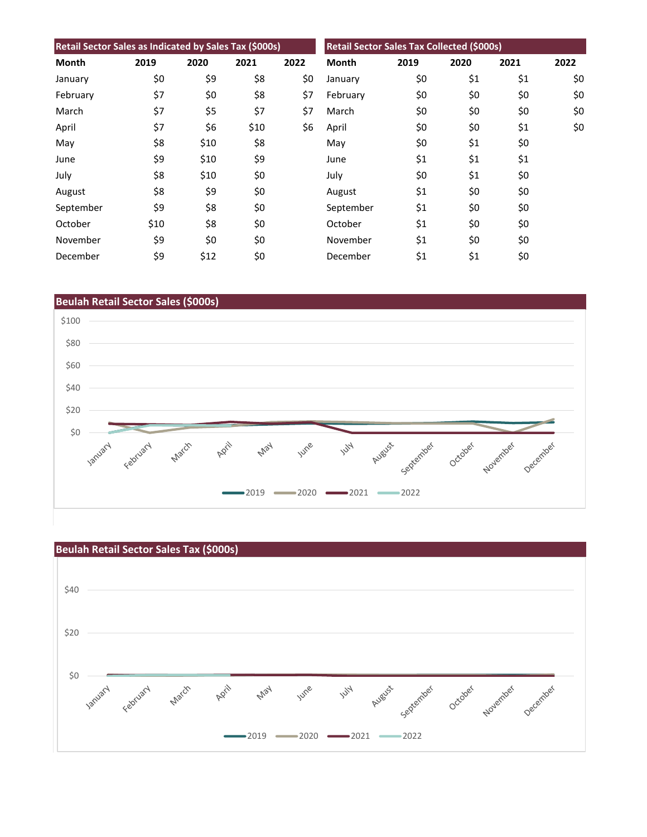| Retail Sector Sales as Indicated by Sales Tax (\$000s) |      |      |      | Retail Sector Sales Tax Collected (\$000s) |              |      |      |      |      |
|--------------------------------------------------------|------|------|------|--------------------------------------------|--------------|------|------|------|------|
| <b>Month</b>                                           | 2019 | 2020 | 2021 | 2022                                       | <b>Month</b> | 2019 | 2020 | 2021 | 2022 |
| January                                                | \$0  | \$9  | \$8  | \$0                                        | January      | \$0  | \$1  | \$1  | \$0  |
| February                                               | \$7  | \$0  | \$8  | \$7                                        | February     | \$0  | \$0  | \$0  | \$0  |
| March                                                  | \$7  | \$5  | \$7  | \$7                                        | March        | \$0  | \$0  | \$0  | \$0  |
| April                                                  | \$7  | \$6  | \$10 | \$6                                        | April        | \$0  | \$0  | \$1  | \$0  |
| May                                                    | \$8  | \$10 | \$8  |                                            | May          | \$0  | \$1  | \$0  |      |
| June                                                   | \$9  | \$10 | \$9  |                                            | June         | \$1  | \$1  | \$1  |      |
| July                                                   | \$8  | \$10 | \$0  |                                            | July         | \$0  | \$1  | \$0  |      |
| August                                                 | \$8  | \$9  | \$0  |                                            | August       | \$1  | \$0  | \$0  |      |
| September                                              | \$9  | \$8  | \$0  |                                            | September    | \$1  | \$0  | \$0  |      |
| October                                                | \$10 | \$8  | \$0  |                                            | October      | \$1  | \$0  | \$0  |      |
| November                                               | \$9  | \$0  | \$0  |                                            | November     | \$1  | \$0  | \$0  |      |
| December                                               | \$9  | \$12 | \$0  |                                            | December     | \$1  | \$1  | \$0  |      |



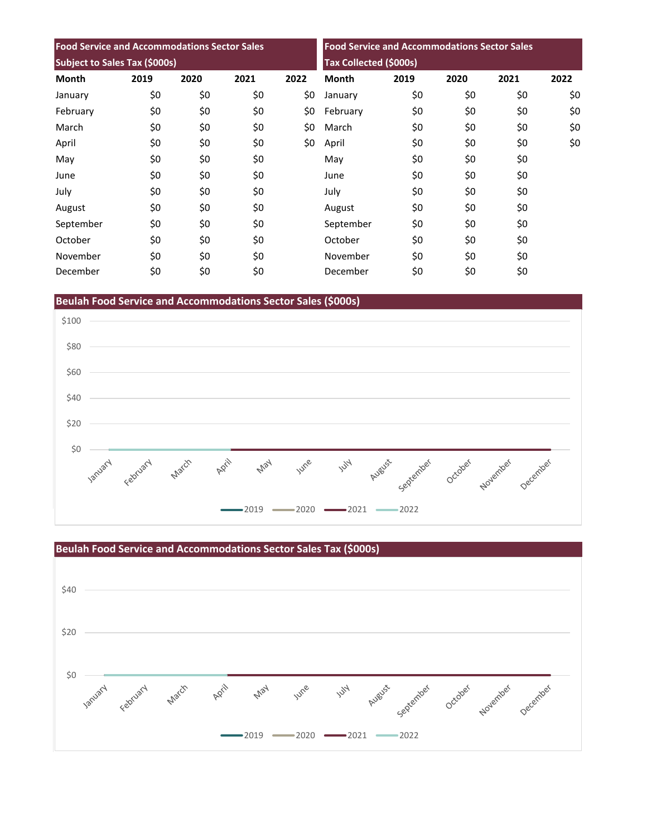| <b>Food Service and Accommodations Sector Sales</b><br>Subject to Sales Tax (\$000s) |     |     |     |     | <b>Food Service and Accommodations Sector Sales</b><br>Tax Collected (\$000s) |     |     |     |     |
|--------------------------------------------------------------------------------------|-----|-----|-----|-----|-------------------------------------------------------------------------------|-----|-----|-----|-----|
|                                                                                      |     |     |     |     |                                                                               |     |     |     |     |
| January                                                                              | \$0 | \$0 | \$0 | \$0 | January                                                                       | \$0 | \$0 | \$0 | \$0 |
| February                                                                             | \$0 | \$0 | \$0 | \$0 | February                                                                      | \$0 | \$0 | \$0 | \$0 |
| March                                                                                | \$0 | \$0 | \$0 | \$0 | March                                                                         | \$0 | \$0 | \$0 | \$0 |
| April                                                                                | \$0 | \$0 | \$0 | \$0 | April                                                                         | \$0 | \$0 | \$0 | \$0 |
| May                                                                                  | \$0 | \$0 | \$0 |     | May                                                                           | \$0 | \$0 | \$0 |     |
| June                                                                                 | \$0 | \$0 | \$0 |     | June                                                                          | \$0 | \$0 | \$0 |     |
| July                                                                                 | \$0 | \$0 | \$0 |     | July                                                                          | \$0 | \$0 | \$0 |     |
| August                                                                               | \$0 | \$0 | \$0 |     | August                                                                        | \$0 | \$0 | \$0 |     |
| September                                                                            | \$0 | \$0 | \$0 |     | September                                                                     | \$0 | \$0 | \$0 |     |
| October                                                                              | \$0 | \$0 | \$0 |     | October                                                                       | \$0 | \$0 | \$0 |     |
| November                                                                             | \$0 | \$0 | \$0 |     | November                                                                      | \$0 | \$0 | \$0 |     |
| December                                                                             | \$0 | \$0 | \$0 |     | December                                                                      | \$0 | \$0 | \$0 |     |

**Beulah Food Service and Accommodations Sector Sales (\$000s)**



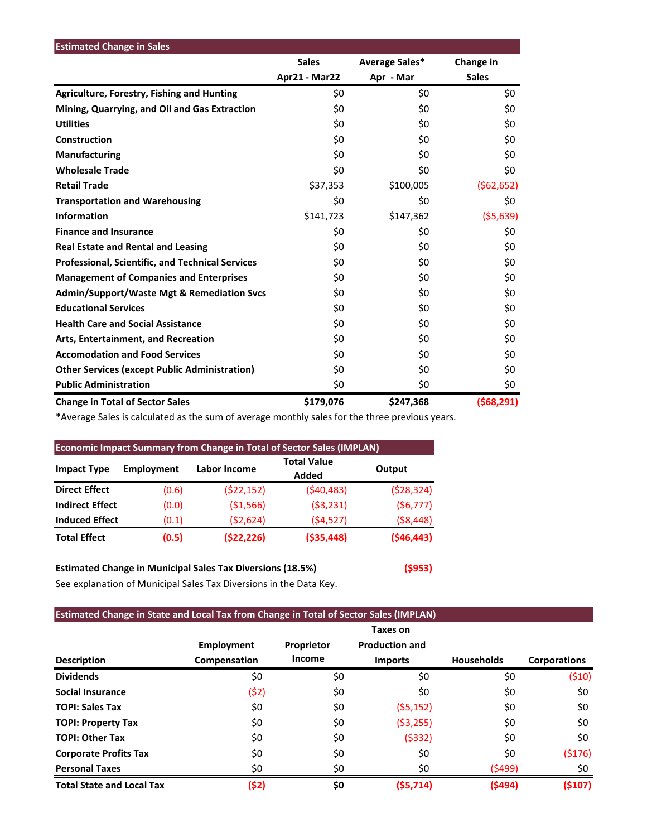| <b>Estimated Change in Sales</b>                        |               |                |              |
|---------------------------------------------------------|---------------|----------------|--------------|
|                                                         | <b>Sales</b>  | Average Sales* | Change in    |
|                                                         | Apr21 - Mar22 | Apr - Mar      | <b>Sales</b> |
| <b>Agriculture, Forestry, Fishing and Hunting</b>       | \$0           | \$0            | \$0          |
| Mining, Quarrying, and Oil and Gas Extraction           | \$0           | \$0            | \$0          |
| <b>Utilities</b>                                        | \$0           | \$0            | \$0          |
| Construction                                            | \$0           | \$0            | \$0          |
| Manufacturing                                           | \$0           | \$0            | \$0          |
| <b>Wholesale Trade</b>                                  | \$0           | \$0            | \$0          |
| <b>Retail Trade</b>                                     | \$37,353      | \$100,005      | (562, 652)   |
| <b>Transportation and Warehousing</b>                   | \$0           | \$0            | \$0          |
| <b>Information</b>                                      | \$141,723     | \$147,362      | (55,639)     |
| <b>Finance and Insurance</b>                            | \$0           | \$0            | \$0          |
| <b>Real Estate and Rental and Leasing</b>               | \$0           | \$0            | \$0          |
| <b>Professional, Scientific, and Technical Services</b> | \$0           | \$0            | \$0          |
| <b>Management of Companies and Enterprises</b>          | \$0           | \$0            | \$0          |
| <b>Admin/Support/Waste Mgt &amp; Remediation Svcs</b>   | \$0           | \$0            | \$0          |
| <b>Educational Services</b>                             | \$0           | \$0            | \$0          |
| <b>Health Care and Social Assistance</b>                | \$0           | \$0            | \$0          |
| Arts, Entertainment, and Recreation                     | \$0           | \$0            | \$0          |
| <b>Accomodation and Food Services</b>                   | \$0           | \$0            | \$0          |
| <b>Other Services (except Public Administration)</b>    | \$0           | \$0            | \$0          |
| <b>Public Administration</b>                            | \$0           | \$0            | \$0          |
| <b>Change in Total of Sector Sales</b>                  | \$179,076     | \$247,368      | (568, 291)   |

\*Average Sales is calculated as the sum of average monthly sales for the three previous years.

| <b>Economic Impact Summary from Change in Total of Sector Sales (IMPLAN)</b> |                   |              |                             |            |  |  |  |  |
|------------------------------------------------------------------------------|-------------------|--------------|-----------------------------|------------|--|--|--|--|
| <b>Impact Type</b>                                                           | <b>Employment</b> | Labor Income | <b>Total Value</b><br>Added | Output     |  |  |  |  |
| <b>Direct Effect</b>                                                         | (0.6)             | (522, 152)   | (540, 483)                  | (528, 324) |  |  |  |  |
| <b>Indirect Effect</b>                                                       | (0.0)             | ( \$1,566)   | (53, 231)                   | (56, 777)  |  |  |  |  |
| <b>Induced Effect</b>                                                        | (0.1)             | (52, 624)    | (54, 527)                   | (58, 448)  |  |  |  |  |
| <b>Total Effect</b>                                                          | (0.5)             | (522, 226)   | ( \$35,448)                 | (546, 443) |  |  |  |  |

# **Estimated Change in Municipal Sales Tax Diversions (18.5%) (\$953)**

See explanation of Municipal Sales Tax Diversions in the Data Key.

## **Estimated Change in State and Local Tax from Change in Total of Sector Sales (IMPLAN)**

|                                  |                   |            | Taxes on              |                   |                     |
|----------------------------------|-------------------|------------|-----------------------|-------------------|---------------------|
|                                  | <b>Employment</b> | Proprietor | <b>Production and</b> |                   |                     |
| <b>Description</b>               | Compensation      | Income     | <b>Imports</b>        | <b>Households</b> | <b>Corporations</b> |
| <b>Dividends</b>                 | \$0               | \$0        | \$0                   | \$0               | (510)               |
| Social Insurance                 | (\$2)             | \$0        | \$0                   | \$0               | \$0                 |
| <b>TOPI: Sales Tax</b>           | \$0               | \$0        | (55, 152)             | \$0               | \$0                 |
| <b>TOPI: Property Tax</b>        | \$0               | \$0        | ( \$3,255)            | \$0               | \$0                 |
| <b>TOPI: Other Tax</b>           | \$0               | \$0        | (5332)                | \$0               | \$0                 |
| <b>Corporate Profits Tax</b>     | \$0               | \$0        | \$0                   | \$0               | (5176)              |
| <b>Personal Taxes</b>            | \$0               | \$0        | \$0                   | (\$499)           | \$0                 |
| <b>Total State and Local Tax</b> | (\$2)             | \$0        | (55, 714)             | (5494)            | (5107)              |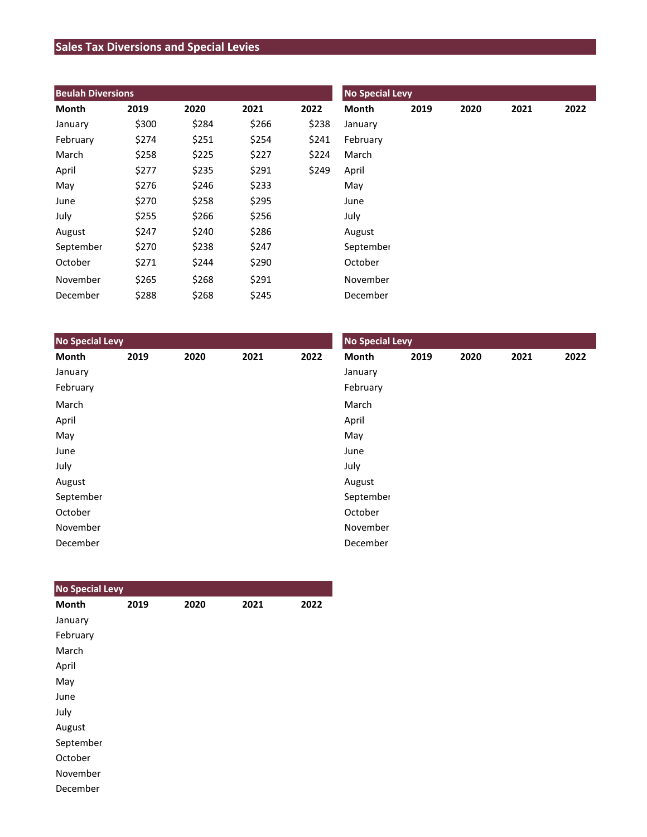# **Sales Tax Diversions and Special Levies**

| <b>Beulah Diversions</b> |       |       |       |       | <b>No Special Levy</b> |      |      |      |      |  |
|--------------------------|-------|-------|-------|-------|------------------------|------|------|------|------|--|
| Month                    | 2019  | 2020  | 2021  | 2022  | Month                  | 2019 | 2020 | 2021 | 2022 |  |
| January                  | \$300 | \$284 | \$266 | \$238 | January                |      |      |      |      |  |
| February                 | \$274 | \$251 | \$254 | \$241 | February               |      |      |      |      |  |
| March                    | \$258 | \$225 | \$227 | \$224 | March                  |      |      |      |      |  |
| April                    | \$277 | \$235 | \$291 | \$249 | April                  |      |      |      |      |  |
| May                      | \$276 | \$246 | \$233 |       | May                    |      |      |      |      |  |
| June                     | \$270 | \$258 | \$295 |       | June                   |      |      |      |      |  |
| July                     | \$255 | \$266 | \$256 |       | July                   |      |      |      |      |  |
| August                   | \$247 | \$240 | \$286 |       | August                 |      |      |      |      |  |
| September                | \$270 | \$238 | \$247 |       | September              |      |      |      |      |  |
| October                  | \$271 | \$244 | \$290 |       | October                |      |      |      |      |  |
| November                 | \$265 | \$268 | \$291 |       | November               |      |      |      |      |  |
| December                 | \$288 | \$268 | \$245 |       | December               |      |      |      |      |  |

| <b>No Special Levy</b> |      |      |      |      | <b>No Special Levy</b> |      |      |      |      |  |
|------------------------|------|------|------|------|------------------------|------|------|------|------|--|
| Month                  | 2019 | 2020 | 2021 | 2022 | Month                  | 2019 | 2020 | 2021 | 2022 |  |
| January                |      |      |      |      | January                |      |      |      |      |  |
| February               |      |      |      |      | February               |      |      |      |      |  |
| March                  |      |      |      |      | March                  |      |      |      |      |  |
| April                  |      |      |      |      | April                  |      |      |      |      |  |
| May                    |      |      |      |      | May                    |      |      |      |      |  |
| June                   |      |      |      |      | June                   |      |      |      |      |  |
| July                   |      |      |      |      | July                   |      |      |      |      |  |
| August                 |      |      |      |      | August                 |      |      |      |      |  |
| September              |      |      |      |      | September              |      |      |      |      |  |
| October                |      |      |      |      | October                |      |      |      |      |  |
| November               |      |      |      |      | November               |      |      |      |      |  |
| December               |      |      |      |      | December               |      |      |      |      |  |

| <b>No Special Levy</b> |      |      |      |      |
|------------------------|------|------|------|------|
| <b>Month</b>           | 2019 | 2020 | 2021 | 2022 |
| January                |      |      |      |      |
| February               |      |      |      |      |
| March                  |      |      |      |      |
| April                  |      |      |      |      |
| May                    |      |      |      |      |
| June                   |      |      |      |      |
| July                   |      |      |      |      |
| August                 |      |      |      |      |
| September              |      |      |      |      |
| October                |      |      |      |      |
| November               |      |      |      |      |
| December               |      |      |      |      |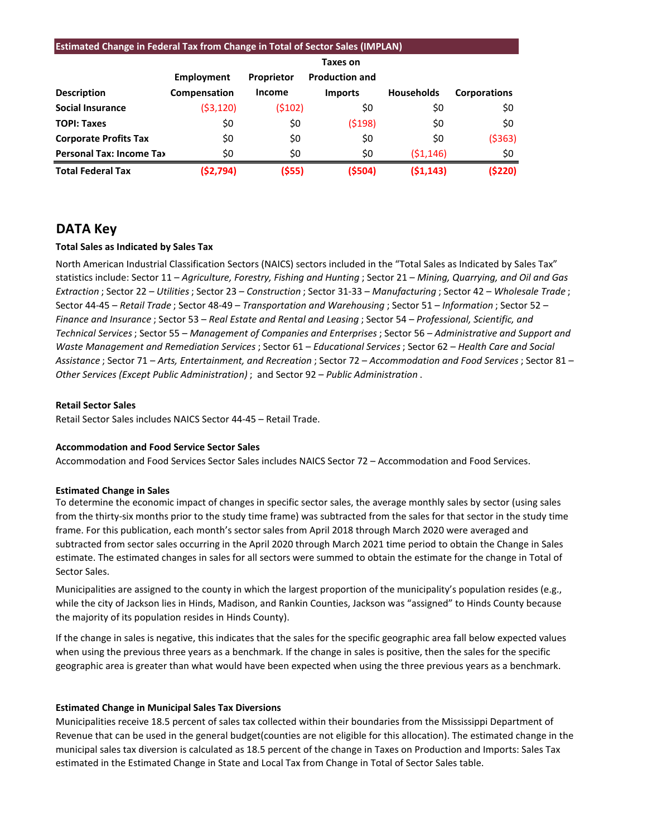| <b>Estimated Change in Federal Tax from Change in Total of Sector Sales (IMPLAN)</b> |              |               |                       |                   |                     |  |  |  |  |
|--------------------------------------------------------------------------------------|--------------|---------------|-----------------------|-------------------|---------------------|--|--|--|--|
|                                                                                      | Taxes on     |               |                       |                   |                     |  |  |  |  |
|                                                                                      | Employment   | Proprietor    | <b>Production and</b> |                   |                     |  |  |  |  |
| <b>Description</b>                                                                   | Compensation | <b>Income</b> | <b>Imports</b>        | <b>Households</b> | <b>Corporations</b> |  |  |  |  |
| <b>Social Insurance</b>                                                              | (53, 120)    | (5102)        | \$0                   | \$0               | \$0                 |  |  |  |  |
| <b>TOPI: Taxes</b>                                                                   | \$0          | \$0           | (5198)                | \$0               | \$0                 |  |  |  |  |
| <b>Corporate Profits Tax</b>                                                         | \$0          | \$0           | \$0                   | \$0               | ( \$363)            |  |  |  |  |
| <b>Personal Tax: Income Tax</b>                                                      | \$0          | \$0           | \$0                   | (51, 146)         | \$0                 |  |  |  |  |
| <b>Total Federal Tax</b>                                                             | (\$2,794)    | (\$55)        | (5504)                | (51, 143)         | (5220)              |  |  |  |  |

# **DATA Key**

## **Total Sales as Indicated by Sales Tax**

North American Industrial Classification Sectors (NAICS) sectors included in the "Total Sales as Indicated by Sales Tax" statistics include: Sector 11 – *Agriculture, Forestry, Fishing and Hunting* ; Sector 21 – *Mining, Quarrying, and Oil and Gas Extraction* ; Sector 22 – *Utilities*; Sector 23 – *Construction* ; Sector 31-33 – *Manufacturing* ; Sector 42 – *Wholesale Trade* ; Sector 44-45 – *Retail Trade* ; Sector 48-49 – *Transportation and Warehousing* ; Sector 51 – *Information* ; Sector 52 – *Finance and Insurance* ; Sector 53 – *Real Estate and Rental and Leasing* ; Sector 54 – *Professional, Scientific, and Technical Services*; Sector 55 – *Management of Companies and Enterprises* ; Sector 56 – *Administrative and Support and Waste Management and Remediation Services* ; Sector 61 – *Educational Services*; Sector 62 – *Health Care and Social Assistance* ; Sector 71 – *Arts, Entertainment, and Recreation* ; Sector 72 – *Accommodation and Food Services* ; Sector 81 – *Other Services (Except Public Administration)* ; and Sector 92 – *Public Administration* .

#### **Retail Sector Sales**

Retail Sector Sales includes NAICS Sector 44-45 – Retail Trade.

## **Accommodation and Food Service Sector Sales**

Accommodation and Food Services Sector Sales includes NAICS Sector 72 – Accommodation and Food Services.

## **Estimated Change in Sales**

To determine the economic impact of changes in specific sector sales, the average monthly sales by sector (using sales from the thirty-six months prior to the study time frame) was subtracted from the sales for that sector in the study time frame. For this publication, each month's sector sales from April 2018 through March 2020 were averaged and subtracted from sector sales occurring in the April 2020 through March 2021 time period to obtain the Change in Sales estimate. The estimated changes in sales for all sectors were summed to obtain the estimate for the change in Total of Sector Sales.

Municipalities are assigned to the county in which the largest proportion of the municipality's population resides (e.g., while the city of Jackson lies in Hinds, Madison, and Rankin Counties, Jackson was "assigned" to Hinds County because the majority of its population resides in Hinds County).

If the change in sales is negative, this indicates that the sales for the specific geographic area fall below expected values when using the previous three years as a benchmark. If the change in sales is positive, then the sales for the specific geographic area is greater than what would have been expected when using the three previous years as a benchmark.

## **Estimated Change in Municipal Sales Tax Diversions**

Municipalities receive 18.5 percent of sales tax collected within their boundaries from the Mississippi Department of Revenue that can be used in the general budget(counties are not eligible for this allocation). The estimated change in the municipal sales tax diversion is calculated as 18.5 percent of the change in Taxes on Production and Imports: Sales Tax estimated in the Estimated Change in State and Local Tax from Change in Total of Sector Sales table.